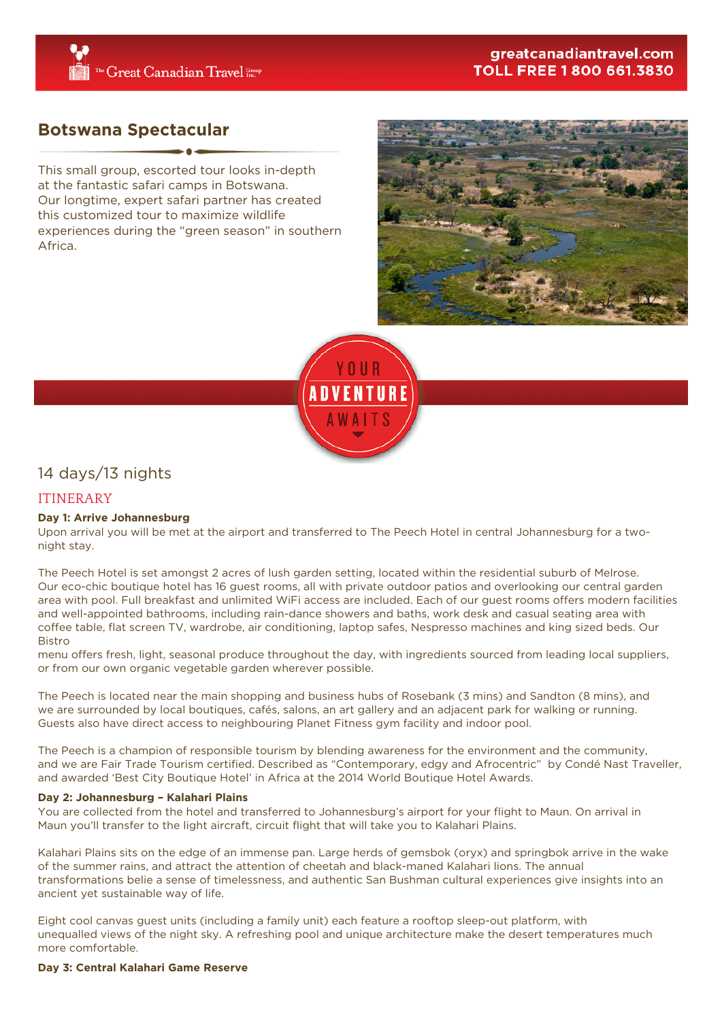## greatcanadiantravel.com **TOLL FREE 1 800 661.3830**

# **Botswana Spectacular**

This small group, escorted tour looks in-depth at the fantastic safari camps in Botswana. Our longtime, expert safari partner has created this customized tour to maximize wildlife experiences during the "green season" in southern Africa.





# 14 days/13 nights

## ITINERARY

## **Day 1: Arrive Johannesburg**

Upon arrival you will be met at the airport and transferred to The Peech Hotel in central Johannesburg for a twonight stay.

The Peech Hotel is set amongst 2 acres of lush garden setting, located within the residential suburb of Melrose. Our eco-chic boutique hotel has 16 guest rooms, all with private outdoor patios and overlooking our central garden area with pool. Full breakfast and unlimited WiFi access are included. Each of our guest rooms offers modern facilities and well-appointed bathrooms, including rain-dance showers and baths, work desk and casual seating area with coffee table, flat screen TV, wardrobe, air conditioning, laptop safes, Nespresso machines and king sized beds. Our Bistro

menu offers fresh, light, seasonal produce throughout the day, with ingredients sourced from leading local suppliers, or from our own organic vegetable garden wherever possible.

The Peech is located near the main shopping and business hubs of Rosebank (3 mins) and Sandton (8 mins), and we are surrounded by local boutiques, cafés, salons, an art gallery and an adjacent park for walking or running. Guests also have direct access to neighbouring Planet Fitness gym facility and indoor pool.

The Peech is a champion of responsible tourism by blending awareness for the environment and the community, and we are Fair Trade Tourism certified. Described as "Contemporary, edgy and Afrocentric" by Condé Nast Traveller, and awarded 'Best City Boutique Hotel' in Africa at the 2014 World Boutique Hotel Awards.

## **Day 2: Johannesburg – Kalahari Plains**

You are collected from the hotel and transferred to Johannesburg's airport for your flight to Maun. On arrival in Maun you'll transfer to the light aircraft, circuit flight that will take you to Kalahari Plains.

Kalahari Plains sits on the edge of an immense pan. Large herds of gemsbok (oryx) and springbok arrive in the wake of the summer rains, and attract the attention of cheetah and black-maned Kalahari lions. The annual transformations belie a sense of timelessness, and authentic San Bushman cultural experiences give insights into an ancient yet sustainable way of life.

Eight cool canvas guest units (including a family unit) each feature a rooftop sleep-out platform, with unequalled views of the night sky. A refreshing pool and unique architecture make the desert temperatures much more comfortable.

## **Day 3: Central Kalahari Game Reserve**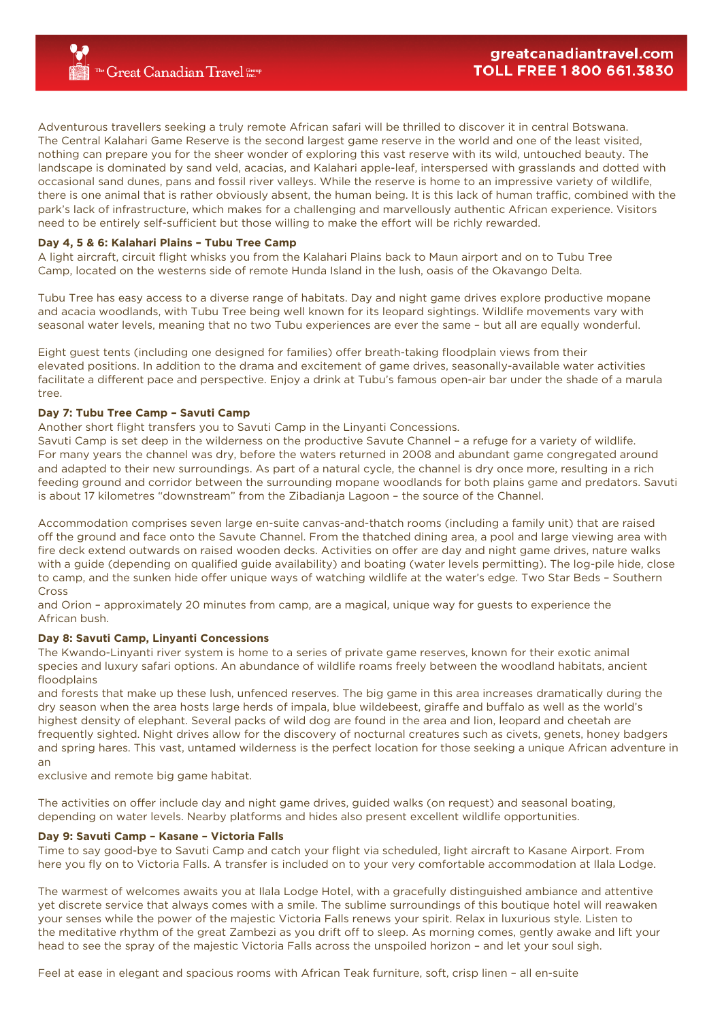Adventurous travellers seeking a truly remote African safari will be thrilled to discover it in central Botswana. The Central Kalahari Game Reserve is the second largest game reserve in the world and one of the least visited, nothing can prepare you for the sheer wonder of exploring this vast reserve with its wild, untouched beauty. The landscape is dominated by sand veld, acacias, and Kalahari apple-leaf, interspersed with grasslands and dotted with occasional sand dunes, pans and fossil river valleys. While the reserve is home to an impressive variety of wildlife, there is one animal that is rather obviously absent, the human being. It is this lack of human traffic, combined with the park's lack of infrastructure, which makes for a challenging and marvellously authentic African experience. Visitors need to be entirely self-sufficient but those willing to make the effort will be richly rewarded.

## **Day 4, 5 & 6: Kalahari Plains – Tubu Tree Camp**

A light aircraft, circuit flight whisks you from the Kalahari Plains back to Maun airport and on to Tubu Tree Camp, located on the westerns side of remote Hunda Island in the lush, oasis of the Okavango Delta.

Tubu Tree has easy access to a diverse range of habitats. Day and night game drives explore productive mopane and acacia woodlands, with Tubu Tree being well known for its leopard sightings. Wildlife movements vary with seasonal water levels, meaning that no two Tubu experiences are ever the same – but all are equally wonderful.

Eight guest tents (including one designed for families) offer breath-taking floodplain views from their elevated positions. In addition to the drama and excitement of game drives, seasonally-available water activities facilitate a different pace and perspective. Enjoy a drink at Tubu's famous open-air bar under the shade of a marula tree.

### **Day 7: Tubu Tree Camp – Savuti Camp**

Another short flight transfers you to Savuti Camp in the Linyanti Concessions.

Savuti Camp is set deep in the wilderness on the productive Savute Channel – a refuge for a variety of wildlife. For many years the channel was dry, before the waters returned in 2008 and abundant game congregated around and adapted to their new surroundings. As part of a natural cycle, the channel is dry once more, resulting in a rich feeding ground and corridor between the surrounding mopane woodlands for both plains game and predators. Savuti is about 17 kilometres "downstream" from the Zibadianja Lagoon – the source of the Channel.

Accommodation comprises seven large en-suite canvas-and-thatch rooms (including a family unit) that are raised off the ground and face onto the Savute Channel. From the thatched dining area, a pool and large viewing area with fire deck extend outwards on raised wooden decks. Activities on offer are day and night game drives, nature walks with a guide (depending on qualified guide availability) and boating (water levels permitting). The log-pile hide, close to camp, and the sunken hide offer unique ways of watching wildlife at the water's edge. Two Star Beds – Southern Cross

and Orion – approximately 20 minutes from camp, are a magical, unique way for guests to experience the African bush.

#### **Day 8: Savuti Camp, Linyanti Concessions**

The Kwando-Linyanti river system is home to a series of private game reserves, known for their exotic animal species and luxury safari options. An abundance of wildlife roams freely between the woodland habitats, ancient floodplains

and forests that make up these lush, unfenced reserves. The big game in this area increases dramatically during the dry season when the area hosts large herds of impala, blue wildebeest, giraffe and buffalo as well as the world's highest density of elephant. Several packs of wild dog are found in the area and lion, leopard and cheetah are frequently sighted. Night drives allow for the discovery of nocturnal creatures such as civets, genets, honey badgers and spring hares. This vast, untamed wilderness is the perfect location for those seeking a unique African adventure in an

exclusive and remote big game habitat.

The activities on offer include day and night game drives, guided walks (on request) and seasonal boating, depending on water levels. Nearby platforms and hides also present excellent wildlife opportunities.

#### **Day 9: Savuti Camp – Kasane – Victoria Falls**

Time to say good-bye to Savuti Camp and catch your flight via scheduled, light aircraft to Kasane Airport. From here you fly on to Victoria Falls. A transfer is included on to your very comfortable accommodation at Ilala Lodge.

The warmest of welcomes awaits you at Ilala Lodge Hotel, with a gracefully distinguished ambiance and attentive yet discrete service that always comes with a smile. The sublime surroundings of this boutique hotel will reawaken your senses while the power of the majestic Victoria Falls renews your spirit. Relax in luxurious style. Listen to the meditative rhythm of the great Zambezi as you drift off to sleep. As morning comes, gently awake and lift your head to see the spray of the majestic Victoria Falls across the unspoiled horizon – and let your soul sigh.

Feel at ease in elegant and spacious rooms with African Teak furniture, soft, crisp linen – all en-suite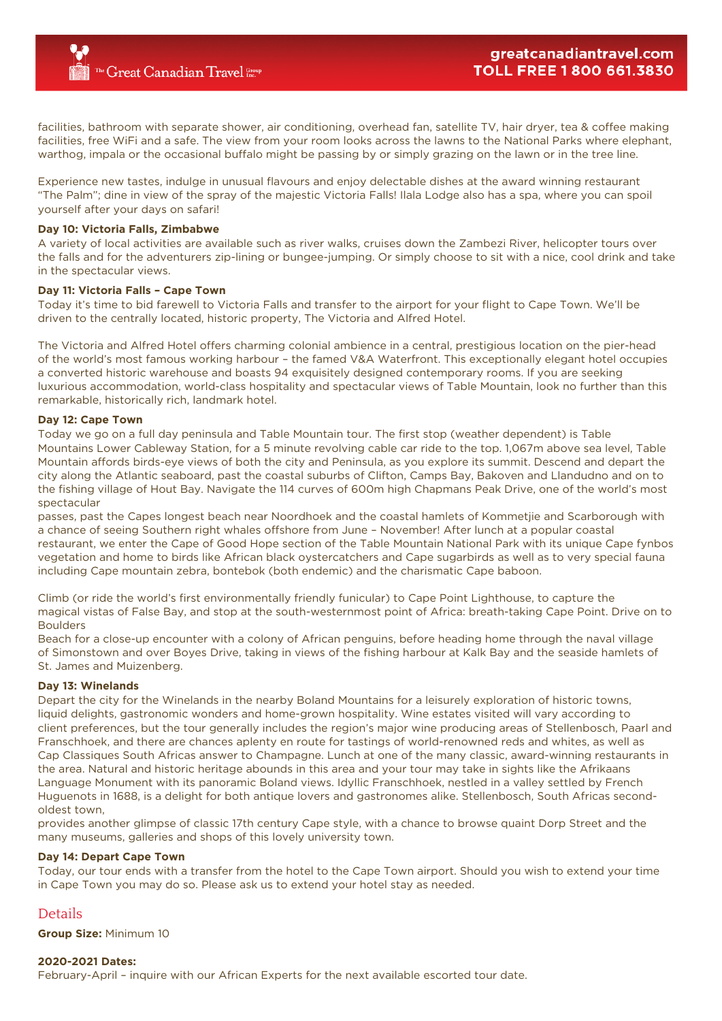facilities, bathroom with separate shower, air conditioning, overhead fan, satellite TV, hair dryer, tea & coffee making facilities, free WiFi and a safe. The view from your room looks across the lawns to the National Parks where elephant, warthog, impala or the occasional buffalo might be passing by or simply grazing on the lawn or in the tree line.

Experience new tastes, indulge in unusual flavours and enjoy delectable dishes at the award winning restaurant "The Palm"; dine in view of the spray of the majestic Victoria Falls! Ilala Lodge also has a spa, where you can spoil yourself after your days on safari!

#### **Day 10: Victoria Falls, Zimbabwe**

A variety of local activities are available such as river walks, cruises down the Zambezi River, helicopter tours over the falls and for the adventurers zip-lining or bungee-jumping. Or simply choose to sit with a nice, cool drink and take in the spectacular views.

#### **Day 11: Victoria Falls – Cape Town**

Today it's time to bid farewell to Victoria Falls and transfer to the airport for your flight to Cape Town. We'll be driven to the centrally located, historic property, The Victoria and Alfred Hotel.

The Victoria and Alfred Hotel offers charming colonial ambience in a central, prestigious location on the pier-head of the world's most famous working harbour – the famed V&A Waterfront. This exceptionally elegant hotel occupies a converted historic warehouse and boasts 94 exquisitely designed contemporary rooms. If you are seeking luxurious accommodation, world-class hospitality and spectacular views of Table Mountain, look no further than this remarkable, historically rich, landmark hotel.

#### **Day 12: Cape Town**

Today we go on a full day peninsula and Table Mountain tour. The first stop (weather dependent) is Table Mountains Lower Cableway Station, for a 5 minute revolving cable car ride to the top. 1,067m above sea level, Table Mountain affords birds-eye views of both the city and Peninsula, as you explore its summit. Descend and depart the city along the Atlantic seaboard, past the coastal suburbs of Clifton, Camps Bay, Bakoven and Llandudno and on to the fishing village of Hout Bay. Navigate the 114 curves of 600m high Chapmans Peak Drive, one of the world's most spectacular

passes, past the Capes longest beach near Noordhoek and the coastal hamlets of Kommetjie and Scarborough with a chance of seeing Southern right whales offshore from June – November! After lunch at a popular coastal restaurant, we enter the Cape of Good Hope section of the Table Mountain National Park with its unique Cape fynbos vegetation and home to birds like African black oystercatchers and Cape sugarbirds as well as to very special fauna including Cape mountain zebra, bontebok (both endemic) and the charismatic Cape baboon.

Climb (or ride the world's first environmentally friendly funicular) to Cape Point Lighthouse, to capture the magical vistas of False Bay, and stop at the south-westernmost point of Africa: breath-taking Cape Point. Drive on to Boulders

Beach for a close-up encounter with a colony of African penguins, before heading home through the naval village of Simonstown and over Boyes Drive, taking in views of the fishing harbour at Kalk Bay and the seaside hamlets of St. James and Muizenberg.

#### **Day 13: Winelands**

Depart the city for the Winelands in the nearby Boland Mountains for a leisurely exploration of historic towns, liquid delights, gastronomic wonders and home-grown hospitality. Wine estates visited will vary according to client preferences, but the tour generally includes the region's major wine producing areas of Stellenbosch, Paarl and Franschhoek, and there are chances aplenty en route for tastings of world-renowned reds and whites, as well as Cap Classiques South Africas answer to Champagne. Lunch at one of the many classic, award-winning restaurants in the area. Natural and historic heritage abounds in this area and your tour may take in sights like the Afrikaans Language Monument with its panoramic Boland views. Idyllic Franschhoek, nestled in a valley settled by French Huguenots in 1688, is a delight for both antique lovers and gastronomes alike. Stellenbosch, South Africas secondoldest town,

provides another glimpse of classic 17th century Cape style, with a chance to browse quaint Dorp Street and the many museums, galleries and shops of this lovely university town.

#### **Day 14: Depart Cape Town**

Today, our tour ends with a transfer from the hotel to the Cape Town airport. Should you wish to extend your time in Cape Town you may do so. Please ask us to extend your hotel stay as needed.

## Details

**Group Size:** Minimum 10

#### **2020-2021 Dates:**

February-April – inquire with our African Experts for the next available escorted tour date.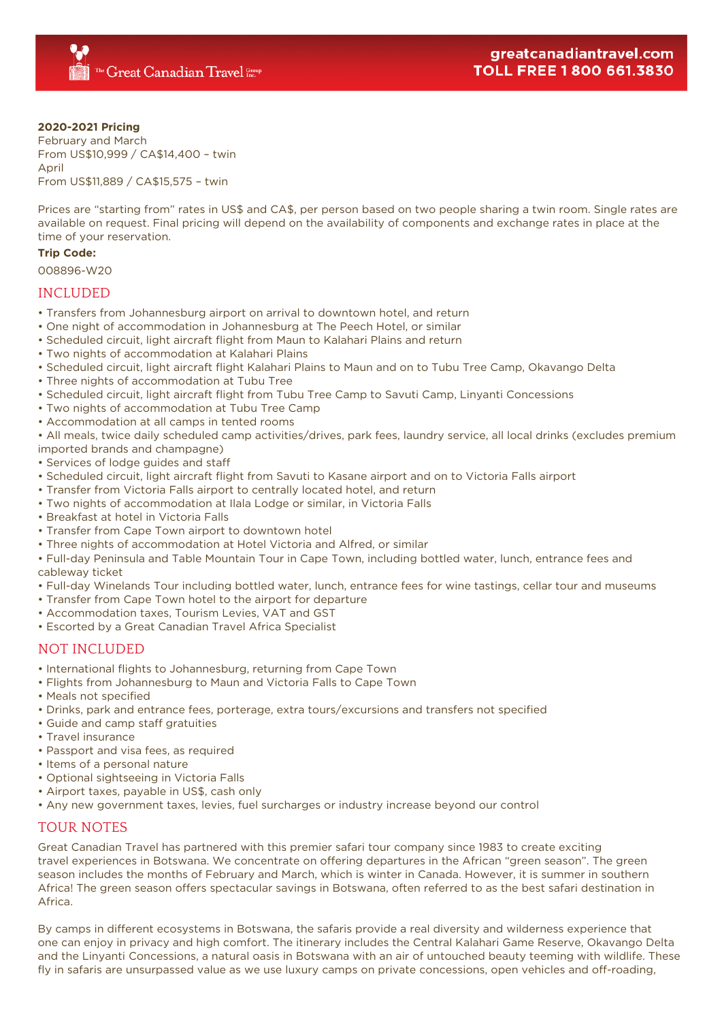### **2020-2021 Pricing**

February and March From US\$10,999 / CA\$14,400 – twin April From US\$11,889 / CA\$15,575 – twin

Prices are "starting from" rates in US\$ and CA\$, per person based on two people sharing a twin room. Single rates are available on request. Final pricing will depend on the availability of components and exchange rates in place at the time of your reservation.

#### **Trip Code:**

008896-W20

## INCLUDED

- Transfers from Johannesburg airport on arrival to downtown hotel, and return
- One night of accommodation in Johannesburg at The Peech Hotel, or similar
- Scheduled circuit, light aircraft flight from Maun to Kalahari Plains and return
- Two nights of accommodation at Kalahari Plains
- Scheduled circuit, light aircraft flight Kalahari Plains to Maun and on to Tubu Tree Camp, Okavango Delta
- Three nights of accommodation at Tubu Tree
- Scheduled circuit, light aircraft flight from Tubu Tree Camp to Savuti Camp, Linyanti Concessions
- Two nights of accommodation at Tubu Tree Camp
- Accommodation at all camps in tented rooms

• All meals, twice daily scheduled camp activities/drives, park fees, laundry service, all local drinks (excludes premium imported brands and champagne)

- Services of lodge guides and staff
- Scheduled circuit, light aircraft flight from Savuti to Kasane airport and on to Victoria Falls airport
- Transfer from Victoria Falls airport to centrally located hotel, and return
- Two nights of accommodation at Ilala Lodge or similar, in Victoria Falls
- Breakfast at hotel in Victoria Falls
- Transfer from Cape Town airport to downtown hotel
- Three nights of accommodation at Hotel Victoria and Alfred, or similar

• Full-day Peninsula and Table Mountain Tour in Cape Town, including bottled water, lunch, entrance fees and cableway ticket

- Full-day Winelands Tour including bottled water, lunch, entrance fees for wine tastings, cellar tour and museums
- Transfer from Cape Town hotel to the airport for departure
- Accommodation taxes, Tourism Levies, VAT and GST
- Escorted by a Great Canadian Travel Africa Specialist

## NOT INCLUDED

- International flights to Johannesburg, returning from Cape Town
- Flights from Johannesburg to Maun and Victoria Falls to Cape Town
- Meals not specified
- Drinks, park and entrance fees, porterage, extra tours/excursions and transfers not specified
- Guide and camp staff gratuities
- Travel insurance
- Passport and visa fees, as required
- Items of a personal nature
- Optional sightseeing in Victoria Falls
- Airport taxes, payable in US\$, cash only
- Any new government taxes, levies, fuel surcharges or industry increase beyond our control

## TOUR NOTES

Great Canadian Travel has partnered with this premier safari tour company since 1983 to create exciting travel experiences in Botswana. We concentrate on offering departures in the African "green season". The green season includes the months of February and March, which is winter in Canada. However, it is summer in southern Africa! The green season offers spectacular savings in Botswana, often referred to as the best safari destination in Africa.

By camps in different ecosystems in Botswana, the safaris provide a real diversity and wilderness experience that one can enjoy in privacy and high comfort. The itinerary includes the Central Kalahari Game Reserve, Okavango Delta and the Linyanti Concessions, a natural oasis in Botswana with an air of untouched beauty teeming with wildlife. These fly in safaris are unsurpassed value as we use luxury camps on private concessions, open vehicles and off-roading,